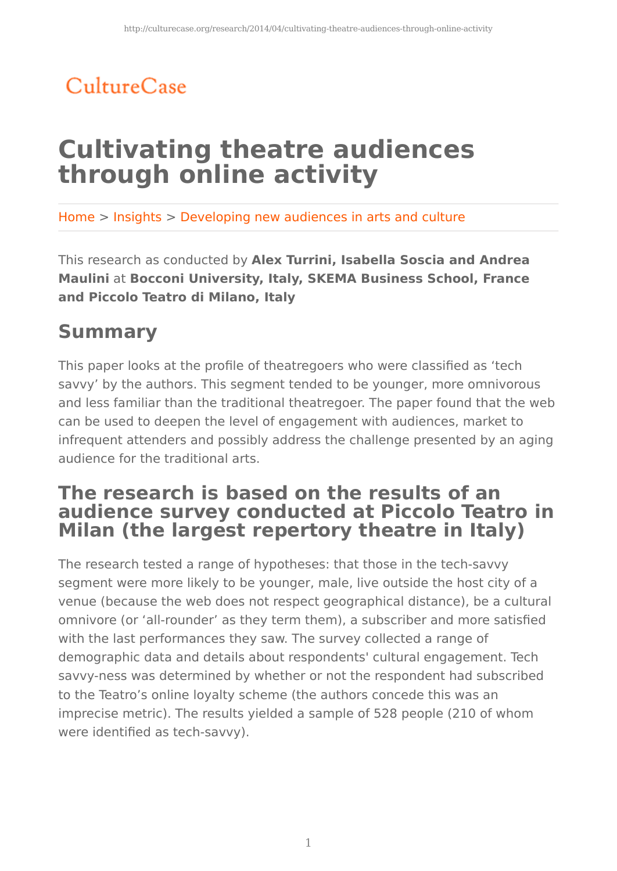## CultureCase

# **Cultivating theatre audiences through online activity**

Home > Insights > Developing new audiences in arts and culture

This research as conducted by **Alex Turrini, Isabella Soscia and Andrea Maulini** at **Bocconi University, Italy, SKEMA Business School, France and Piccolo Teatro di Milano, Italy**

### **Summary**

This paper looks at the profile of theatregoers who were classified as 'tech savvy' by the authors. This segment tended to be younger, more omnivorous and less familiar than the traditional theatregoer. The paper found that the web can be used to deepen the level of engagement with audiences, market to infrequent attenders and possibly address the challenge presented by an aging audience for the traditional arts.

#### **The research is based on the results of an audience survey conducted at Piccolo Teatro in Milan (the largest repertory theatre in Italy)**

The research tested a range of hypotheses: that those in the tech-savvy segment were more likely to be younger, male, live outside the host city of a venue (because the web does not respect geographical distance), be a cultural omnivore (or 'all-rounder' as they term them), a subscriber and more satisfied with the last performances they saw. The survey collected a range of demographic data and details about respondents' cultural engagement. Tech savvy-ness was determined by whether or not the respondent had subscribed to the Teatro's online loyalty scheme (the authors concede this was an imprecise metric). The results yielded a sample of 528 people (210 of whom were identified as tech-savvy).